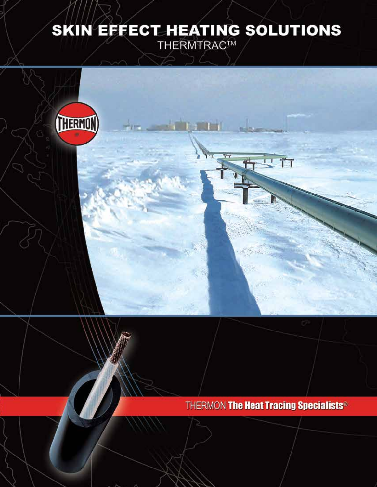# SKIN EFFECT\_HEATING SOLUTIONS

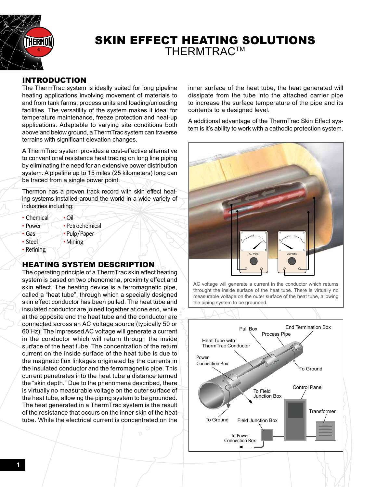

# SKIN EFFECT HEATING SOLUTIONS **THERMTRAC™**

## INTRODUCTION

The ThermTrac system is ideally suited for long pipeline heating applications involving movement of materials to and from tank farms, process units and loading/unloading facilities. The versatility of the system makes it ideal for temperature maintenance, freeze protection and heat-up applications. Adaptable to varying site conditions both above and below ground, a ThermTrac system can traverse terrains with significant elevation changes.

A ThermTrac system provides a cost-effective alternative to conventional resistance heat tracing on long line piping by eliminating the need for an extensive power distribution system. A pipeline up to 15 miles (25 kilometers) long can be traced from a single power point.

Thermon has a proven track record with skin effect heating systems installed around the world in a wide variety of industries including:

- Chémical  $\sim$  Oil
- Power Petrochemical
- Gas  **Pulp/Paper**
- Steel Mining
- Refining

# HEATING SYSTEM DESCRIPTION

The operating principle of a ThermTrac skin effect heating system is based on two phenomena, proximity effect and skin effect. The heating device is a ferromagnetic pipe, called a "heat tube", through which a specially designed skin effect conductor has been pulled. The heat tube and insulated conductor are joined together at one end, while at the opposite end the heat tube and the conductor are connected across an AC voltage source (typically 50 or 60 Hz). The impressed AC voltage will generate a current in the conductor which/will return through the inside surface of the heat tube. The concentration of the return current on the inside surface of the heat tube is due to the magnetic flux linkages originated by the currents in the insulated conductor and the ferromagnetic pipe. This current penetrates into the heat tube a distance termed the "skin depth." Due to the phenomena described, there is virtually no measurable voltage on the outer surface of the heat tube, allowing the piping system to be grounded. The heat generated in a ThermTrac system is the result of the resistance that occurs on the inner skin of the heat tube. While the electrical current is concentrated on the

inner surface of the heat tube, the heat generated will dissipate from the tube into the attached carrier pipe to increase the surface temperature of the pipe and its contents to a designed level.

A additional advantage of the ThermTrac Skin Effect system is it's ability to work with a cathodic protection system.



AC voltage will generate a current in the conductor which returns throught the inside surface of the heat tube. There is virtually no measurable voltage on the outer surface of the heat tube, allowing the piping system to be grounded.

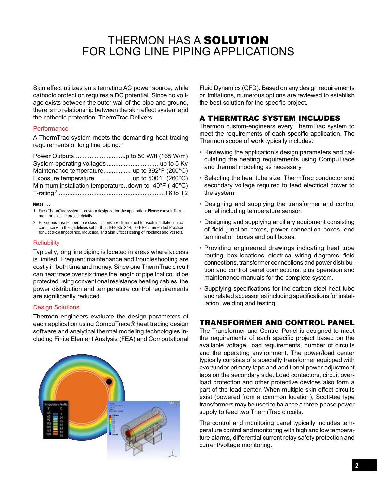# THERMON HAS A SOLUTION FOR LONG LINE PIPING APPLICATIONS

Skin effect utilizes an alternating AC power source, while cathodic protection requires a DC potential. Since no voltage exists between the outer wall of the pipe and ground, there is no relationship between the skin effect system and the cathodic protection. ThermTrac Delivers

#### **Performance**

A ThermTrac system meets the demanding heat tracing requirements of long line piping: 1

| Minimum installation temperaturedown to -40 $\degree$ F (-40 $\degree$ C) |  |
|---------------------------------------------------------------------------|--|
|                                                                           |  |

#### **Notes . . .**

- 1. Each ThermTrac system is custom designed for the application. Please consult Thermon for specific project details.
- 2. Hazardous area temperature classifications are determined for each installation in accordance with the guidelines set forth in IEEE Std 844, IEEE Recommended Practice for Electrical Impedance, Induction, and Skin Effect Heating of Pipelines and Vessels.

#### **Reliability**

Typically, long line piping is located in areas where access is limited. Frequent maintenance and troubleshooting are costly in both time and money. Since one ThermTrac circuit can heat trace over six times the length of pipe that could be protected using conventional resistance heating cables, the power distribution and temperature control requirements are significantly reduced.

#### Design Solutions

Thermon engineers evaluate the design parameters of each application using CompuTrace® heat tracing design software and analytical thermal modeling technologies including Finite Element Analysis (FEA) and Computational



Fluid Dynamics (CFD). Based on any design requirements or limitations, numerous options are reviewed to establish the best solution for the specific project.

### A THERMTRAC SYSTEM INCLUDES

Thermon custom-engineers every ThermTrac system to meet the requirements of each specific application. The Thermon scope of work typically includes:

- Reviewing the application's design parameters and calculating the heating requirements using CompuTrace and thermal modeling as necessary.
- Selecting the heat tube size, ThermTrac conductor and secondary voltage required to feed electrical power to the system.
- Designing and supplying the transformer and control panel including temperature sensor.
- Designing and supplying ancillary equipment consisting of field junction boxes, power connection boxes, end termination boxes and pull boxes.
- Providing engineered drawings indicating heat tube routing, box locations, electrical wiring diagrams, field connections, transformer connections and power distribution and control panel connections, plus operation and maintenance manuals for the complete system.
- Supplying specifications for the carbon steel heat tube and related accessories including specifications for installation, welding and testing.

#### TRANSFORMER AND CONTROL PANEL

The Transformer and Control Panel is designed to meet the requirements of each specific project based on the available voltage, load requirements, number of circuits and the operating environment. The power/load center typically consists of a specialty transformer equipped with over/under primary taps and additional power adjustment taps on the secondary side. Load contactors, circuit overload protection and other protective devices also form a part of the load center. When multiple skin effect circuits exist (powered from a common location), Scott-tee type transformers may be used to balance a three-phase power supply to feed two ThermTrac circuits.

The control and monitoring panel typically includes temperature control and monitoring with high and low temperature alarms, differential current relay safety protection and current/voltage monitoring.